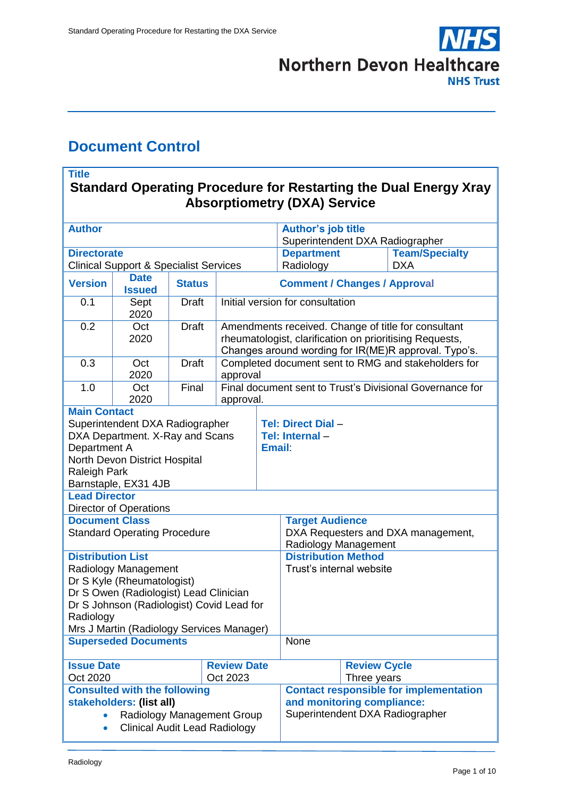

## <span id="page-0-0"></span>**Document Control**

#### **Title Standard Operating Procedure for Restarting the Dual Energy Xray Absorptiometry (DXA) Service**

| <b>Author</b>                                                                                                                                                                                                                                                                                                                                                                                                                                                                                                                                  |                                                   |               |                                                                                                                                                                        |                                                                                                                | <b>Author's job title</b>                                                                                                                                                                     |  |                       |  |
|------------------------------------------------------------------------------------------------------------------------------------------------------------------------------------------------------------------------------------------------------------------------------------------------------------------------------------------------------------------------------------------------------------------------------------------------------------------------------------------------------------------------------------------------|---------------------------------------------------|---------------|------------------------------------------------------------------------------------------------------------------------------------------------------------------------|----------------------------------------------------------------------------------------------------------------|-----------------------------------------------------------------------------------------------------------------------------------------------------------------------------------------------|--|-----------------------|--|
|                                                                                                                                                                                                                                                                                                                                                                                                                                                                                                                                                |                                                   |               |                                                                                                                                                                        |                                                                                                                | Superintendent DXA Radiographer                                                                                                                                                               |  |                       |  |
| <b>Directorate</b>                                                                                                                                                                                                                                                                                                                                                                                                                                                                                                                             |                                                   |               |                                                                                                                                                                        |                                                                                                                | <b>Department</b>                                                                                                                                                                             |  | <b>Team/Specialty</b> |  |
|                                                                                                                                                                                                                                                                                                                                                                                                                                                                                                                                                | <b>Clinical Support &amp; Specialist Services</b> |               |                                                                                                                                                                        |                                                                                                                | Radiology                                                                                                                                                                                     |  | <b>DXA</b>            |  |
| <b>Version</b>                                                                                                                                                                                                                                                                                                                                                                                                                                                                                                                                 | <b>Date</b><br><b>Issued</b>                      | <b>Status</b> | <b>Comment / Changes / Approval</b>                                                                                                                                    |                                                                                                                |                                                                                                                                                                                               |  |                       |  |
| 0.1                                                                                                                                                                                                                                                                                                                                                                                                                                                                                                                                            | Sept<br>2020                                      | <b>Draft</b>  | Initial version for consultation                                                                                                                                       |                                                                                                                |                                                                                                                                                                                               |  |                       |  |
| 0.2                                                                                                                                                                                                                                                                                                                                                                                                                                                                                                                                            | Oct<br>2020                                       | <b>Draft</b>  | Amendments received. Change of title for consultant<br>rheumatologist, clarification on prioritising Requests,<br>Changes around wording for IR(ME)R approval. Typo's. |                                                                                                                |                                                                                                                                                                                               |  |                       |  |
| 0.3                                                                                                                                                                                                                                                                                                                                                                                                                                                                                                                                            | Oct<br>2020                                       | <b>Draft</b>  | Completed document sent to RMG and stakeholders for<br>approval                                                                                                        |                                                                                                                |                                                                                                                                                                                               |  |                       |  |
| 1.0                                                                                                                                                                                                                                                                                                                                                                                                                                                                                                                                            | Oct<br>2020                                       | Final         | Final document sent to Trust's Divisional Governance for<br>approval.                                                                                                  |                                                                                                                |                                                                                                                                                                                               |  |                       |  |
| <b>Main Contact</b><br>Superintendent DXA Radiographer<br>DXA Department. X-Ray and Scans<br>Department A<br>North Devon District Hospital<br>Raleigh Park<br>Barnstaple, EX31 4JB<br><b>Lead Director</b><br><b>Director of Operations</b><br><b>Document Class</b><br><b>Standard Operating Procedure</b><br><b>Distribution List</b><br>Radiology Management<br>Dr S Kyle (Rheumatologist)<br>Dr S Owen (Radiologist) Lead Clinician<br>Dr S Johnson (Radiologist) Covid Lead for<br>Radiology<br>Mrs J Martin (Radiology Services Manager) |                                                   |               |                                                                                                                                                                        | <b>Email:</b>                                                                                                  | <b>Tel: Direct Dial -</b><br>Tel: Internal-<br><b>Target Audience</b><br>DXA Requesters and DXA management,<br>Radiology Management<br><b>Distribution Method</b><br>Trust's internal website |  |                       |  |
| <b>Superseded Documents</b>                                                                                                                                                                                                                                                                                                                                                                                                                                                                                                                    |                                                   |               |                                                                                                                                                                        | None                                                                                                           |                                                                                                                                                                                               |  |                       |  |
| <b>Review Date</b><br><b>Issue Date</b><br>Oct 2020<br>Oct 2023                                                                                                                                                                                                                                                                                                                                                                                                                                                                                |                                                   |               |                                                                                                                                                                        | <b>Review Cycle</b><br>Three years                                                                             |                                                                                                                                                                                               |  |                       |  |
| <b>Consulted with the following</b><br>stakeholders: (list all)<br>Radiology Management Group<br><b>Clinical Audit Lead Radiology</b><br>$\bullet$                                                                                                                                                                                                                                                                                                                                                                                             |                                                   |               |                                                                                                                                                                        | <b>Contact responsible for implementation</b><br>and monitoring compliance:<br>Superintendent DXA Radiographer |                                                                                                                                                                                               |  |                       |  |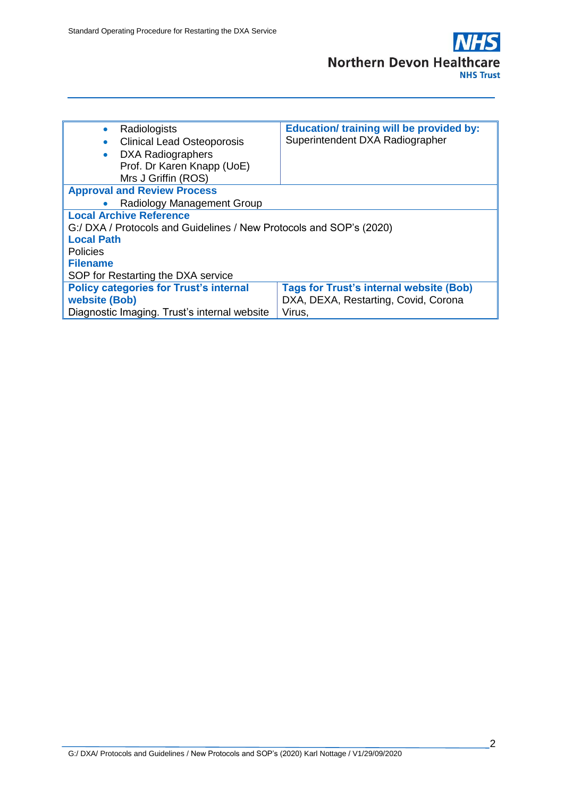

| Radiologists<br>$\bullet$                                           | <b>Education/ training will be provided by:</b> |  |  |  |  |  |
|---------------------------------------------------------------------|-------------------------------------------------|--|--|--|--|--|
| <b>Clinical Lead Osteoporosis</b>                                   | Superintendent DXA Radiographer                 |  |  |  |  |  |
| <b>DXA Radiographers</b>                                            |                                                 |  |  |  |  |  |
| Prof. Dr Karen Knapp (UoE)                                          |                                                 |  |  |  |  |  |
| Mrs J Griffin (ROS)                                                 |                                                 |  |  |  |  |  |
| <b>Approval and Review Process</b>                                  |                                                 |  |  |  |  |  |
| Radiology Management Group                                          |                                                 |  |  |  |  |  |
| <b>Local Archive Reference</b>                                      |                                                 |  |  |  |  |  |
| G:/ DXA / Protocols and Guidelines / New Protocols and SOP's (2020) |                                                 |  |  |  |  |  |
| <b>Local Path</b>                                                   |                                                 |  |  |  |  |  |
| <b>Policies</b>                                                     |                                                 |  |  |  |  |  |
| <b>Filename</b>                                                     |                                                 |  |  |  |  |  |
| SOP for Restarting the DXA service                                  |                                                 |  |  |  |  |  |
| <b>Policy categories for Trust's internal</b>                       | <b>Tags for Trust's internal website (Bob)</b>  |  |  |  |  |  |
| website (Bob)                                                       | DXA, DEXA, Restarting, Covid, Corona            |  |  |  |  |  |
| Diagnostic Imaging. Trust's internal website                        | Virus,                                          |  |  |  |  |  |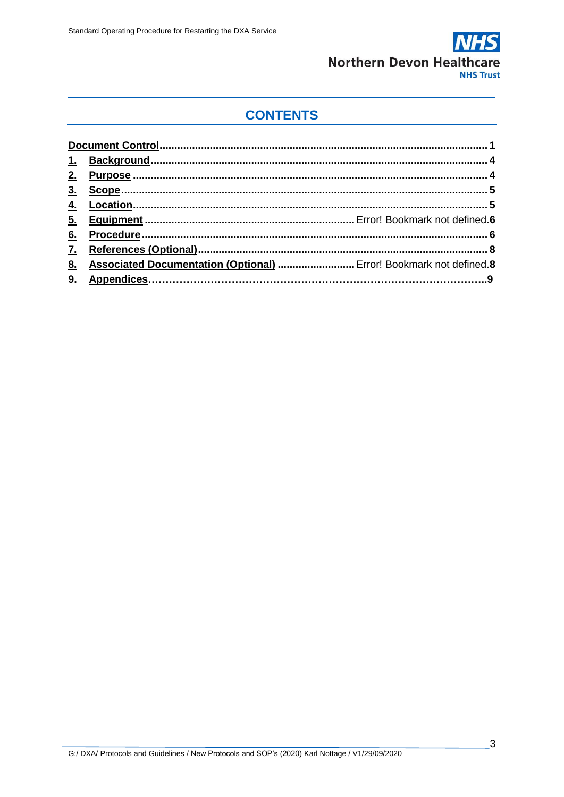

# **CONTENTS**

| Associated Documentation (Optional)  Error! Bookmark not defined.8 |
|--------------------------------------------------------------------|
|                                                                    |
|                                                                    |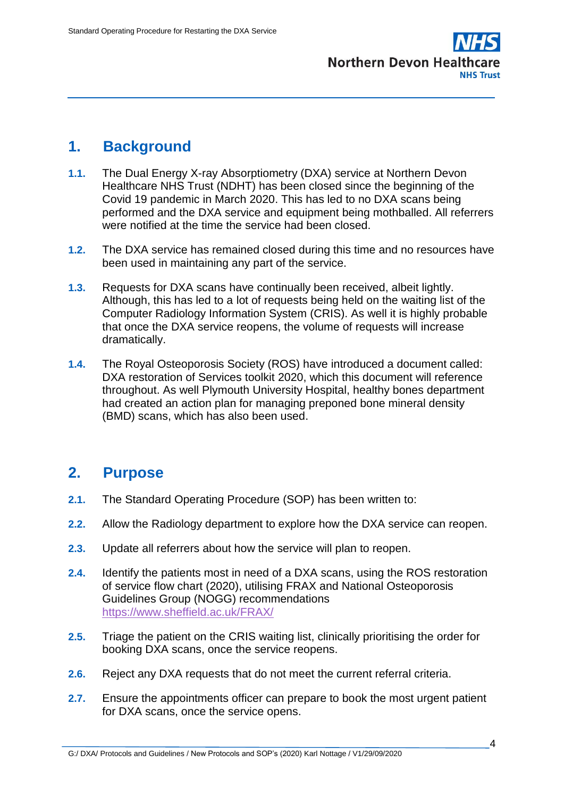

## <span id="page-3-0"></span>**1. Background**

- **1.1.** The Dual Energy X-ray Absorptiometry (DXA) service at Northern Devon Healthcare NHS Trust (NDHT) has been closed since the beginning of the Covid 19 pandemic in March 2020. This has led to no DXA scans being performed and the DXA service and equipment being mothballed. All referrers were notified at the time the service had been closed.
- **1.2.** The DXA service has remained closed during this time and no resources have been used in maintaining any part of the service.
- **1.3.** Requests for DXA scans have continually been received, albeit lightly. Although, this has led to a lot of requests being held on the waiting list of the Computer Radiology Information System (CRIS). As well it is highly probable that once the DXA service reopens, the volume of requests will increase dramatically.
- **1.4.** The Royal Osteoporosis Society (ROS) have introduced a document called: DXA restoration of Services toolkit 2020, which this document will reference throughout. As well Plymouth University Hospital, healthy bones department had created an action plan for managing preponed bone mineral density (BMD) scans, which has also been used.

#### **2. Purpose**

- **2.1.** The Standard Operating Procedure (SOP) has been written to:
- **2.2.** Allow the Radiology department to explore how the DXA service can reopen.
- **2.3.** Update all referrers about how the service will plan to reopen.
- **2.4.** Identify the patients most in need of a DXA scans, using the ROS restoration of service flow chart (2020), utilising FRAX and National Osteoporosis Guidelines Group (NOGG) recommendations <https://www.sheffield.ac.uk/FRAX/>
- **2.5.** Triage the patient on the CRIS waiting list, clinically prioritising the order for booking DXA scans, once the service reopens.
- **2.6.** Reject any DXA requests that do not meet the current referral criteria.
- **2.7.** Ensure the appointments officer can prepare to book the most urgent patient for DXA scans, once the service opens.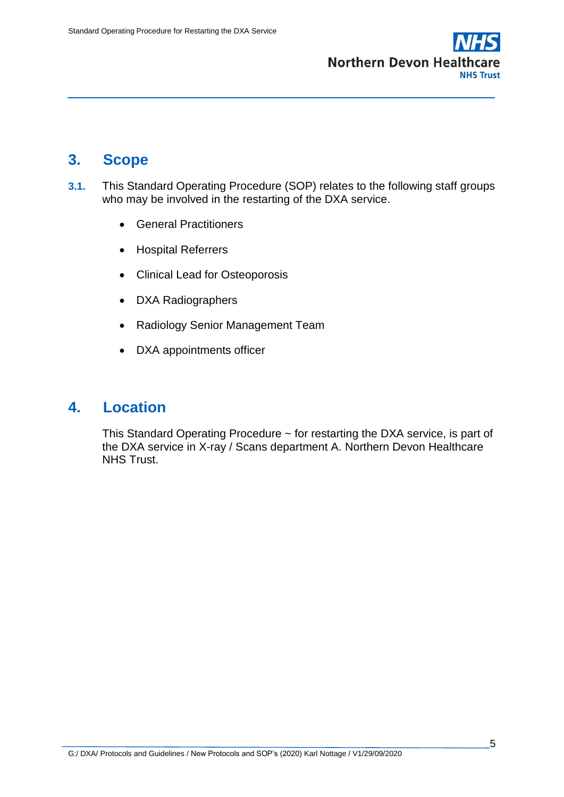

## **3. Scope**

- **3.1.** This Standard Operating Procedure (SOP) relates to the following staff groups who may be involved in the restarting of the DXA service.
	- General Practitioners
	- Hospital Referrers
	- Clinical Lead for Osteoporosis
	- DXA Radiographers
	- Radiology Senior Management Team
	- DXA appointments officer

#### <span id="page-4-0"></span>**4. Location**

This Standard Operating Procedure ~ for restarting the DXA service, is part of the DXA service in X-ray / Scans department A. Northern Devon Healthcare NHS Trust.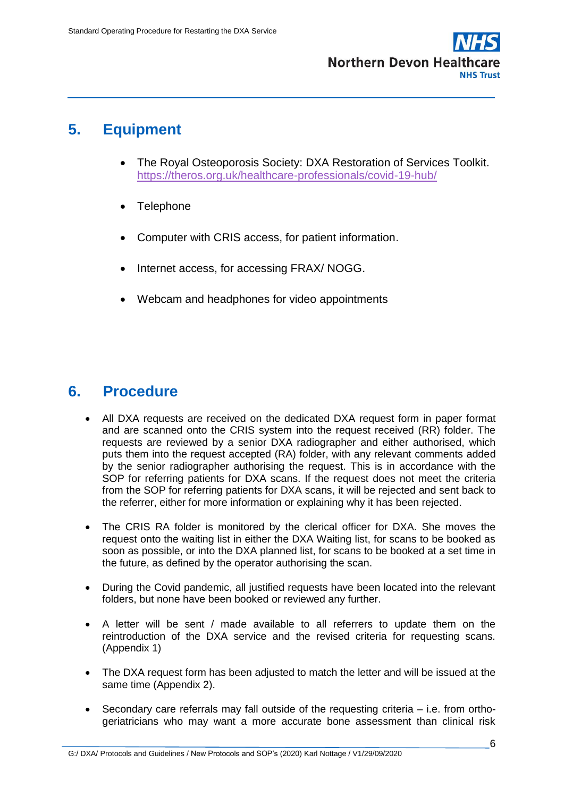

## **5. Equipment**

- The Royal Osteoporosis Society: DXA Restoration of Services Toolkit. <https://theros.org.uk/healthcare-professionals/covid-19-hub/>
- **Telephone**
- Computer with CRIS access, for patient information.
- Internet access, for accessing FRAX/ NOGG.
- Webcam and headphones for video appointments

#### **6. Procedure**

- All DXA requests are received on the dedicated DXA request form in paper format and are scanned onto the CRIS system into the request received (RR) folder. The requests are reviewed by a senior DXA radiographer and either authorised, which puts them into the request accepted (RA) folder, with any relevant comments added by the senior radiographer authorising the request. This is in accordance with the SOP for referring patients for DXA scans. If the request does not meet the criteria from the SOP for referring patients for DXA scans, it will be rejected and sent back to the referrer, either for more information or explaining why it has been rejected.
- The CRIS RA folder is monitored by the clerical officer for DXA. She moves the request onto the waiting list in either the DXA Waiting list, for scans to be booked as soon as possible, or into the DXA planned list, for scans to be booked at a set time in the future, as defined by the operator authorising the scan.
- During the Covid pandemic, all justified requests have been located into the relevant folders, but none have been booked or reviewed any further.
- A letter will be sent / made available to all referrers to update them on the reintroduction of the DXA service and the revised criteria for requesting scans. (Appendix 1)
- The DXA request form has been adjusted to match the letter and will be issued at the same time (Appendix 2).
- Secondary care referrals may fall outside of the requesting criteria i.e. from orthogeriatricians who may want a more accurate bone assessment than clinical risk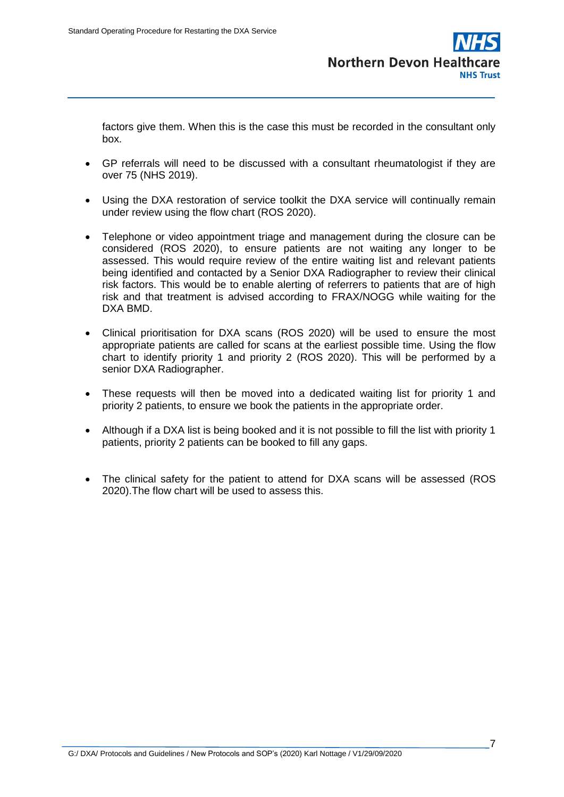**Northern Devon Healt NHS Trust** 

factors give them. When this is the case this must be recorded in the consultant only box.

- GP referrals will need to be discussed with a consultant rheumatologist if they are over 75 (NHS 2019).
- Using the DXA restoration of service toolkit the DXA service will continually remain under review using the flow chart (ROS 2020).
- Telephone or video appointment triage and management during the closure can be considered (ROS 2020), to ensure patients are not waiting any longer to be assessed. This would require review of the entire waiting list and relevant patients being identified and contacted by a Senior DXA Radiographer to review their clinical risk factors. This would be to enable alerting of referrers to patients that are of high risk and that treatment is advised according to FRAX/NOGG while waiting for the DXA BMD.
- Clinical prioritisation for DXA scans (ROS 2020) will be used to ensure the most appropriate patients are called for scans at the earliest possible time. Using the flow chart to identify priority 1 and priority 2 (ROS 2020). This will be performed by a senior DXA Radiographer.
- These requests will then be moved into a dedicated waiting list for priority 1 and priority 2 patients, to ensure we book the patients in the appropriate order.
- Although if a DXA list is being booked and it is not possible to fill the list with priority 1 patients, priority 2 patients can be booked to fill any gaps.
- The clinical safety for the patient to attend for DXA scans will be assessed (ROS 2020).The flow chart will be used to assess this.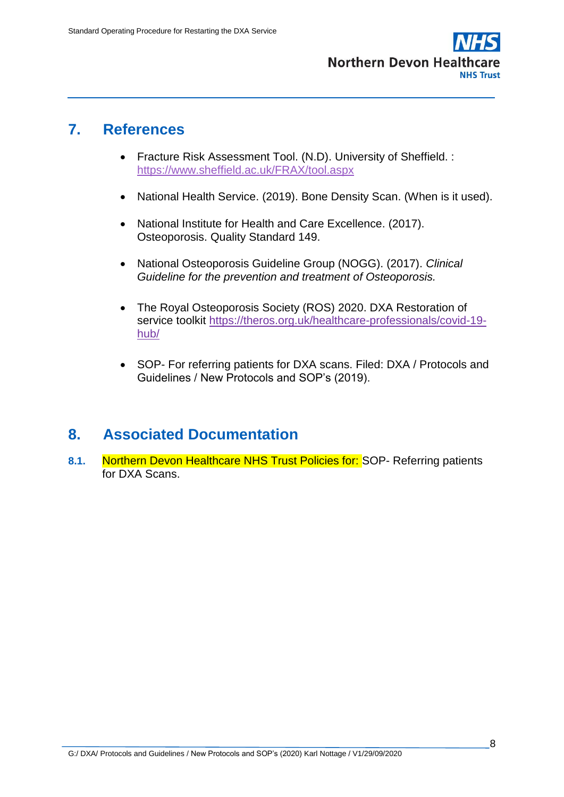

#### **7. References**

- Fracture Risk Assessment Tool. (N.D). University of Sheffield. : <https://www.sheffield.ac.uk/FRAX/tool.aspx>
- National Health Service. (2019). Bone Density Scan. (When is it used).
- National Institute for Health and Care Excellence. (2017). Osteoporosis. Quality Standard 149.
- National Osteoporosis Guideline Group (NOGG). (2017). *Clinical Guideline for the prevention and treatment of Osteoporosis.*
- The Royal Osteoporosis Society (ROS) 2020. DXA Restoration of service toolkit [https://theros.org.uk/healthcare-professionals/covid-19](https://theros.org.uk/healthcare-professionals/covid-19-hub/) [hub/](https://theros.org.uk/healthcare-professionals/covid-19-hub/)
- SOP- For referring patients for DXA scans. Filed: DXA / Protocols and Guidelines / New Protocols and SOP's (2019).

#### **8. Associated Documentation**

**8.1.** Northern Devon Healthcare NHS Trust Policies for: SOP- Referring patients for DXA Scans.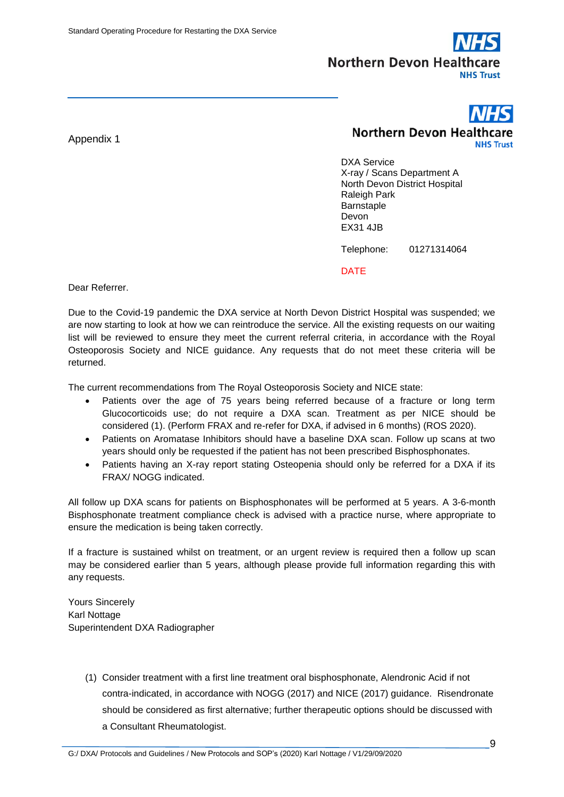

#### Appendix 1

**Northern Devon Healthcare NHS Trust** 

DXA Service X-ray / Scans Department A North Devon District Hospital Raleigh Park Barnstaple Devon EX31 4JB

Telephone: 01271314064

DATE

Dear Referrer.

Due to the Covid-19 pandemic the DXA service at North Devon District Hospital was suspended; we are now starting to look at how we can reintroduce the service. All the existing requests on our waiting list will be reviewed to ensure they meet the current referral criteria, in accordance with the Royal Osteoporosis Society and NICE guidance. Any requests that do not meet these criteria will be returned.

The current recommendations from The Royal Osteoporosis Society and NICE state:

- Patients over the age of 75 years being referred because of a fracture or long term Glucocorticoids use; do not require a DXA scan. Treatment as per NICE should be considered (1). (Perform FRAX and re-refer for DXA, if advised in 6 months) (ROS 2020).
- Patients on Aromatase Inhibitors should have a baseline DXA scan. Follow up scans at two years should only be requested if the patient has not been prescribed Bisphosphonates.
- Patients having an X-ray report stating Osteopenia should only be referred for a DXA if its FRAX/ NOGG indicated.

All follow up DXA scans for patients on Bisphosphonates will be performed at 5 years. A 3-6-month Bisphosphonate treatment compliance check is advised with a practice nurse, where appropriate to ensure the medication is being taken correctly.

If a fracture is sustained whilst on treatment, or an urgent review is required then a follow up scan may be considered earlier than 5 years, although please provide full information regarding this with any requests.

Yours Sincerely Karl Nottage Superintendent DXA Radiographer

> (1) Consider treatment with a first line treatment oral bisphosphonate, Alendronic Acid if not contra-indicated, in accordance with NOGG (2017) and NICE (2017) guidance. Risendronate should be considered as first alternative; further therapeutic options should be discussed with a Consultant Rheumatologist.